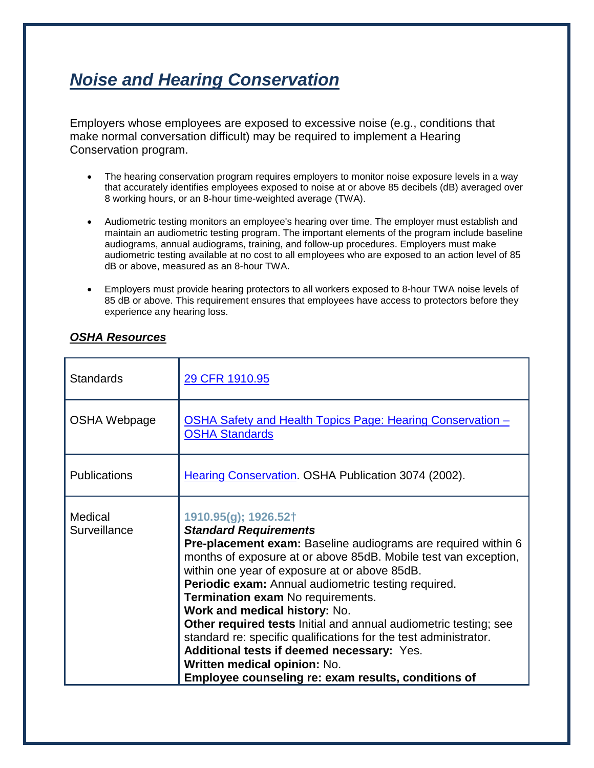## *Noise and Hearing Conservation*

Employers whose employees are exposed to excessive noise (e.g., conditions that make normal conversation difficult) may be required to implement a Hearing Conservation program.

- The hearing conservation program requires employers to monitor noise exposure levels in a way that accurately identifies employees exposed to noise at or above 85 decibels (dB) averaged over 8 working hours, or an 8-hour time-weighted average (TWA).
- Audiometric testing monitors an employee's hearing over time. The employer must establish and maintain an audiometric testing program. The important elements of the program include baseline audiograms, annual audiograms, training, and follow-up procedures. Employers must make audiometric testing available at no cost to all employees who are exposed to an action level of 85 dB or above, measured as an 8-hour TWA.
- Employers must provide hearing protectors to all workers exposed to 8-hour TWA noise levels of 85 dB or above. This requirement ensures that employees have access to protectors before they experience any hearing loss.

| <b>Standards</b>        | 29 CFR 1910.95                                                                                                                                                                                                                                                                                                                                                                                                                                                                                                                                                                                                                                      |
|-------------------------|-----------------------------------------------------------------------------------------------------------------------------------------------------------------------------------------------------------------------------------------------------------------------------------------------------------------------------------------------------------------------------------------------------------------------------------------------------------------------------------------------------------------------------------------------------------------------------------------------------------------------------------------------------|
| OSHA Webpage            | <b>OSHA Safety and Health Topics Page: Hearing Conservation -</b><br><b>OSHA Standards</b>                                                                                                                                                                                                                                                                                                                                                                                                                                                                                                                                                          |
| <b>Publications</b>     | Hearing Conservation. OSHA Publication 3074 (2002).                                                                                                                                                                                                                                                                                                                                                                                                                                                                                                                                                                                                 |
| Medical<br>Surveillance | 1910.95(g); 1926.52†<br><b>Standard Requirements</b><br>Pre-placement exam: Baseline audiograms are required within 6<br>months of exposure at or above 85dB. Mobile test van exception,<br>within one year of exposure at or above 85dB.<br>Periodic exam: Annual audiometric testing required.<br>Termination exam No requirements.<br>Work and medical history: No.<br>Other required tests Initial and annual audiometric testing; see<br>standard re: specific qualifications for the test administrator.<br>Additional tests if deemed necessary: Yes.<br>Written medical opinion: No.<br>Employee counseling re: exam results, conditions of |

## *OSHA Resources*